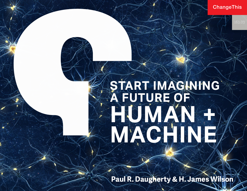**ChangeThis** 

# **START IMAGINING A FUTURE OF** HUMAN + **MACHINE**

**Paul R. Daugherty & H. James Wilson**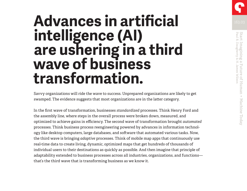## **Advances in artificial intelligence (AI) are ushering in a third wave of business transformation.**

Savvy organizations will ride the wave to success. Unprepared organizations are likely to get swamped. The evidence suggests that most organizations are in the latter category.

In the first wave of transformation, businesses *standardized* processes. Think Henry Ford and the assembly line, where steps in the overall process were broken down, measured, and optimized to achieve gains in efficiency. The second wave of transformation brought *automated*  processes. Think business process reengineering powered by advances in information technology like desktop computers, large databases, and software that automated various tasks. Now, the third wave is bringing *adaptive* processes. Think of mobile map apps that continuously use real-time data to create living, dynamic, optimized maps that get hundreds of thousands of individual users to their destinations as quickly as possible. And then imagine that principle of adaptability extended to business processes across all industries, organizations, and functions that's the third wave that is transforming business as we know it.

Start Imagining a Future of Human + Machine Today<br>Paul R. Daugherty & H. James Wilson Paul R. Daugherty & H. James Wilson Start Imagining a Future of Human + Machine Today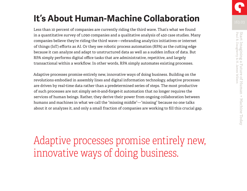### **It's About Human-Machine Collaboration**

Less than 10 percent of companies are currently riding the third wave. That's what we found in a quantitative survey of 1,090 companies and a qualitative analysis of 450 case studies. Many companies believe they're riding the third wave—rebranding analytics initiatives or internet of things (IoT) efforts as AI. Or they see robotic process automation (RPA) as the cutting edge because it can analyze and adapt to unstructured data as well as a sudden influx of data. But RPA simply performs digital office tasks that are administrative, repetitive, and largely transactional within a workflow. In other words, RPA simply automates existing processes.

Adaptive processes promise entirely new, innovative ways of doing business. Building on the revolutions embodied in assembly lines and digital information technology, adaptive processes are driven by real-time data rather than a predetermined series of steps. The most productive of such processes are not simply set-it-and-forget-it automation that no longer requires the services of human beings. Rather, they derive their power from ongoing collaboration between humans and machines in what we call the "missing middle"—"missing" because no one talks about it or analyzes it, and only a small fraction of companies are working to fill this crucial gap.

Adaptive processes promise entirely new, innovative ways of doing business.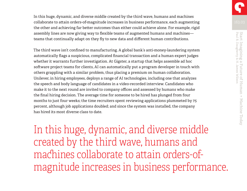In this huge, dynamic, and diverse middle created by the third wave, humans and machines collaborate to attain orders-of-magnitude increases in business performance, each augmenting the other and achieving far better outcomes than either could achieve alone. For example, rigid assembly lines are now giving way to flexible teams of augmented humans and machines teams that continually adapt on they fly to new data and different human contributions.

The third wave isn't confined to manufacturing. A global bank's anti-money-laundering system automatically flags a suspicious, complicated financial transaction and a human expert judges whether it warrants further investigation. At Gigster, a startup that helps assemble ad hoc software project teams for clients, AI can automatically put a program developer in touch with others grappling with a similar problem, thus placing a premium on human collaboration. Unilever, in hiring employees, deploys a range of AI technologies, including one that analyzes the speech and body language of candidates in a video-recorded interview. Candidates who make it to the next round are invited to company offices and assessed by humans who make the final hiring decision. The average time for someone to be hired has plunged from four months to just four weeks; the time recruiters spent reviewing applications plummeted by 75 percent, although job applications doubled; and since the system was installed, the company has hired its most diverse class to date.

In this huge, dynamic, and diverse middle created by the third wave, humans and machines collaborate to attain orders-ofmagnitude increases in business performance.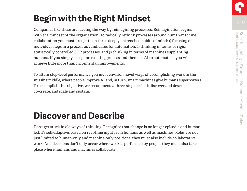### **Begin with the Right Mindset**

Companies like these are leading the way by reimagining processes. Reimagination begins with the mindset of the organization. To radically rethink processes around human-machine collaboration you must first jettison three deeply entrenched habits of mind: 1) focusing on individual steps in a process as candidates for automation, 2) thinking in terms of rigid, statistically controlled SOP processes, and 3) thinking in terms of machines supplanting humans. If you simply accept an existing process and then use AI to automate it, you will achieve little more than incremental improvements.

To attain step-level performance you must envision novel ways of accomplishing work in the "missing middle, where people improve AI and, in turn, smart machines give humans superpowers. To accomplish this objective, we recommend a three-step method: discover and describe, co-create, and scale and sustain.

### **Discover and Describe**

Don't get stuck in old ways of thinking. Recognize that change is no longer episodic and humanled; it's self-adaptive, based on real-time input from humans as well as machines. Roles are not just limited to human-only and machine-only positions; they must also include collaborative work. And decisions don't only occur where work is performed by people; they must also take place where humans and machines collaborate.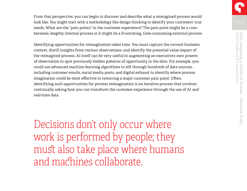From that perspective, you can begin to discover and describe what a reimagined process would look like. You might start with a methodology like design thinking to identify your customers' true needs. What are the "pain points" in the customer experience? The pain point might be a cumbersome, lengthy internal process or it might be a frustrating, time-consuming external process.

Identifying opportunities for reimagination takes time. You must capture the current business context, distill insights from various observations, and identify the potential value impact of the reimagined process. AI itself can be very useful in augmenting an executive's own powers of observation to spot previously hidden patterns of opportunity in the data. For example, you could use advanced machine-learning algorithms to sift through hundreds of data sources, including customer emails, social media posts, and digital exhaust to identify where process imagination could be most effective in removing a major customer pain point. Often, identifying such opportunities for process reimagination is an iterative process that involves continually asking how you can transform the customer experience through the use of AI and real-time data.

Decisions don't only occur where work is performed by people; they must also take place where humans and machines collaborate.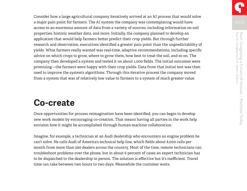Consider how a large agricultural company iteratively arrived at an AI process that would solve a major pain point for farmers. The AI system the company was contemplating would have access to an enormous amount of data from a variety of sources, including information on soil properties, historic weather data, and more. Initially, the company planned to develop an application that would help farmers better predict their crop yields. But through further research and observation, executives identified a greater pain point than the unpredictability of yields. What farmers really wanted was real-time, adaptive recommendations, including specific advice on which crops to grow, where to grow them, how best to treat the soil, and so on. The company then developed a system and tested it on about 1,000 fields. The initial outcomes were promising—the farmers were happy with their crop yields. Data from that initial test was then used to improve the system's algorithms. Through this iterative process the company moved from a system that was of relatively low value to farmers to a system of much greater value.

#### **Co-create**

Once opportunities for process reimagination have been identified, you can begin to develop new work models by encouraging co-creation. That means having all parties in the work help envision how it might be accomplished through human-machine collaboration.

Imagine, for example, a technician at an Audi dealership who encounters an engine problem he can't solve. He calls Audi of America's technical help line, which fields about 8,000 calls per month from more than 290 dealers across the country. Most of the time, remote technicians can troubleshoot problems over the phone, but in about 6 percent of cases an expert technician has to be dispatched to the dealership in person. The solution is effective but it's inefficient. Travel time can take between two hours to two days. Meanwhile the customer waits.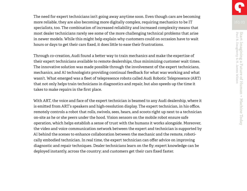The need for expert technicians isn't going away anytime soon. Even though cars are becoming more reliable, they are also becoming more digitally complex, requiring mechanics to be IT specialists, too. The combination of increased reliability and increased complexity means that most dealer technicians rarely see some of the more challenging technical problems that arise in newer models. While this might help explain why customers could on occasion have to wait hours or days to get their cars fixed, it does little to ease their frustrations.

Through co-creation, Audi found a better way to train mechanics and make the expertise of their expert technicians available to remote dealerships, thus minimizing customer wait times. The innovative solution was made possible through the involvement of the expert technicians, mechanics, and AI technologists providing continual feedback for what was working and what wasn't. What emerged was a fleet of telepresence robots called Audi Robotic Telepresence (ART) that not only helps train technicians in diagnostics and repair, but also speeds up the time it takes to make repairs in the first place.

With ART, the voice and face of the expert technician is beamed to any Audi dealership, where it is emitted from ART's speakers and high-resolution display. The expert technician, in his office, remotely controls a robot that rolls, swivels, sees, hears, and scoots right up next to a technician on-site as he or she peers under the hood. Vision sensors on the mobile robot ensure safe operation, which helps establish a sense of trust with the humans it works alongside. Moreover, the video and voice communication network between the expert and technician is supported by AI behind the scenes to enhance collaboration between the mechanic and the remote, robotically embodied technician. In real time, the expert technician can offer advice on improving diagnostic and repair techniques. Dealer technicians learn on the fly; expert knowledge can be deployed instantly, across the country; and customers get their cars fixed faster.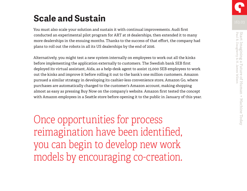### **Scale and Sustain**

You must also scale your solution and sustain it with continual improvements. Audi first conducted an experimental pilot program for ART at 18 dealerships, then extended it to many more dealerships in the ensuing months. Thanks to the success of that effort, the company had plans to roll out the robots in all its US dealerships by the end of 2016.

Alternatively, you might test a new system internally on employees to work out all the kinks before implementing the application externally to customers. The Swedish bank SEB first deployed its virtual assistant, Aida, as a help-desk agent to assist 15,000 SEB employees to work out the kinks and improve it before rolling it out to the bank's one million customers. Amazon pursued a similar strategy in developing its cashier-less convenience store, Amazon Go, where purchases are automatically charged to the customer's Amazon account, making shopping almost as easy as pressing Buy Now on the company's website. Amazon first tested the concept with Amazon employees in a Seattle store before opening it to the public in January of this year.

Once opportunities for process reimagination have been identified, you can begin to develop new work models by encouraging co-creation.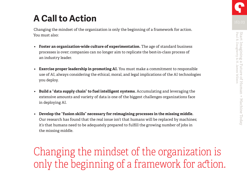### **A Call to Action**

Changing the mindset of the organization is only the beginning of a framework for action. You must also:

- **• Foster an organization-wide culture of experimentation.** The age of standard business processes is over; companies can no longer aim to replicate the best-in-class process of an industry leader.
- **• Exercise proper leadership in promoting AI.** You must make a commitment to responsible use of AI, always considering the ethical, moral, and legal implications of the AI technologies you deploy.
- **• Build a "data supply chain" to fuel intelligent systems.** Accumulating and leveraging the extensive amounts and variety of data is one of the biggest challenges organizations face in deploying AI.
- **• Develop the "fusion skills" necessary for reimagining processes in the missing middle.** Our research has found that the real issue isn't that humans will be replaced by machines; it's that humans need to be adequately prepared to fulfill the growing number of jobs in the missing middle.

Changing the mindset of the organization is only the beginning of a framework for action.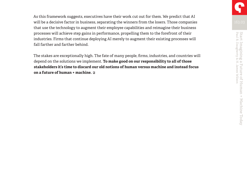As this framework suggests, executives have their work cut out for them. We predict that AI will be a decisive factor in business, separating the winners from the losers. Those companies that use the technology to augment their employee capabilities and reimagine their business processes will achieve step gains in performance, propelling them to the forefront of their industries. Firms that continue deploying AI merely to augment their existing processes will fall farther and farther behind.

The stakes are exceptionally high. The fate of many people, firms, industries, and countries will depend on the solutions we implement. **To make good on our responsibility to all of those stakeholders it's time to discard our old notions of human versus machine and instead focus on a future of human + machine.**